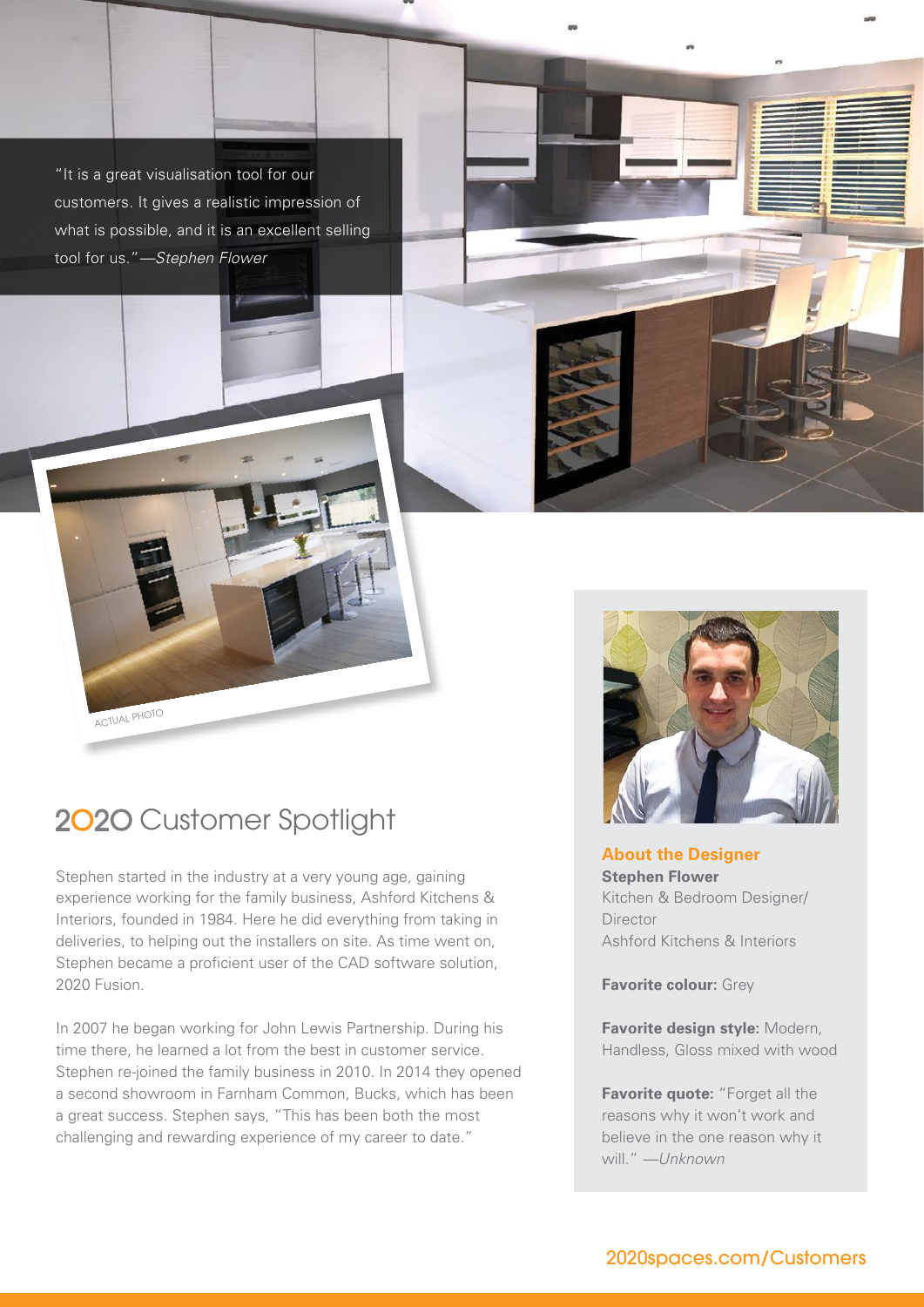"It is a great visualisation tool for our customers. It gives a realistic impression of what is possible, and it is an excellent selling tool for us."*—Stephen Flower*



ACTUAL PHOTO

Stephen started in the industry at a very young age, gaining experience working for the family business, Ashford Kitchens & Interiors, founded in 1984. Here he did everything from taking in deliveries, to helping out the installers on site. As time went on, Stephen became a proficient user of the CAD software solution, 2020 Fusion.

In 2007 he began working for John Lewis Partnership. During his time there, he learned a lot from the best in customer service. Stephen re-joined the family business in 2010. In 2014 they opened a second showroom in Farnham Common, Bucks, which has been a great success. Stephen says, "This has been both the most challenging and rewarding experience of my career to date."



**About the Designer Stephen Flower** Kitchen & Bedroom Designer/ **Director** Ashford Kitchens & Interiors

**Favorite colour: Grey** 

**Favorite design style:** Modern, Handless, Gloss mixed with wood

**Favorite quote:** "Forget all the reasons why it won't work and believe in the one reason why it will." *—Unknown*